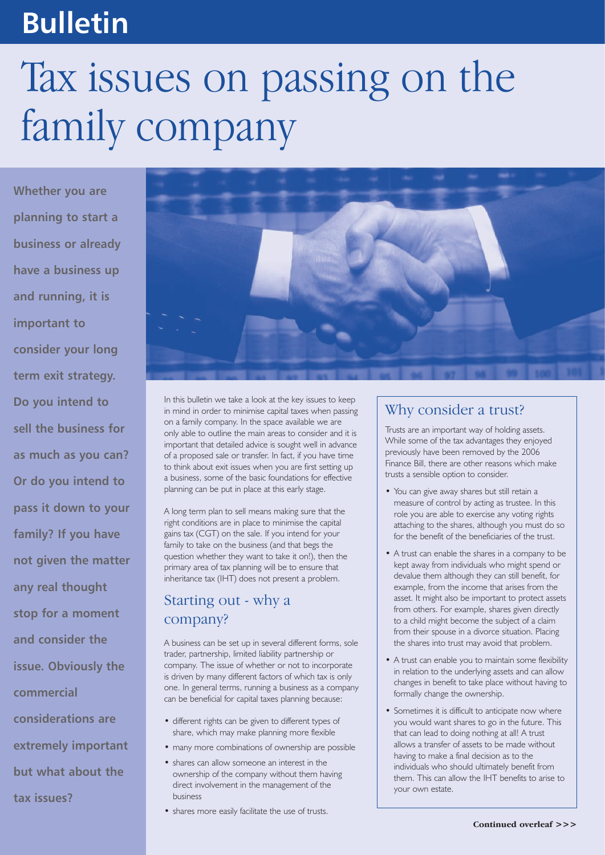# **Bulletin**

# Tax issues on passing on the family company

**Whether you are planning to start a business or already have a business up and running, it is important to consider your long term exit strategy. Do you intend to sell the business for as much as you can? Or do you intend to pass it down to your family? If you have not given the matter any real thought stop for a moment and consider the issue. Obviously the commercial considerations are extremely important but what about the tax issues?**



In this bulletin we take a look at the key issues to keep in mind in order to minimise capital taxes when passing on a family company. In the space available we are only able to outline the main areas to consider and it is important that detailed advice is sought well in advance of a proposed sale or transfer. In fact, if you have time to think about exit issues when you are first setting up a business, some of the basic foundations for effective planning can be put in place at this early stage.

A long term plan to sell means making sure that the right conditions are in place to minimise the capital gains tax (CGT) on the sale. If you intend for your family to take on the business (and that begs the question whether they want to take it on!), then the primary area of tax planning will be to ensure that inheritance tax (IHT) does not present a problem.

# Starting out - why a company?

A business can be set up in several different forms, sole trader, partnership, limited liability partnership or company. The issue of whether or not to incorporate is driven by many different factors of which tax is only one. In general terms, running a business as a company can be beneficial for capital taxes planning because:

- different rights can be given to different types of share, which may make planning more flexible
- many more combinations of ownership are possible
- shares can allow someone an interest in the ownership of the company without them having direct involvement in the management of the
- shares more easily facilitate the use of trusts.

business

# Why consider a trust?

Trusts are an important way of holding assets. While some of the tax advantages they enjoyed previously have been removed by the 2006 Finance Bill, there are other reasons which make trusts a sensible option to consider.

- You can give away shares but still retain a measure of control by acting as trustee. In this role you are able to exercise any voting rights attaching to the shares, although you must do so for the benefit of the beneficiaries of the trust.
- A trust can enable the shares in a company to be kept away from individuals who might spend or devalue them although they can still benefit, for example, from the income that arises from the asset. It might also be important to protect assets from others. For example, shares given directly to a child might become the subject of a claim from their spouse in a divorce situation. Placing the shares into trust may avoid that problem.
- A trust can enable you to maintain some flexibility in relation to the underlying assets and can allow changes in benefit to take place without having to formally change the ownership.
- Sometimes it is difficult to anticipate now where you would want shares to go in the future. This that can lead to doing nothing at all! A trust allows a transfer of assets to be made without having to make a final decision as to the individuals who should ultimately benefit from them. This can allow the IHT benefits to arise to your own estate.